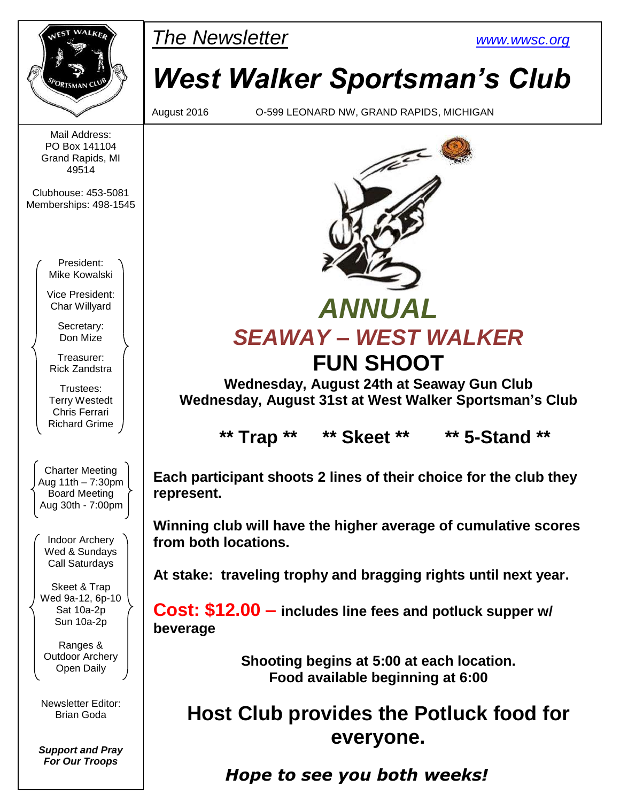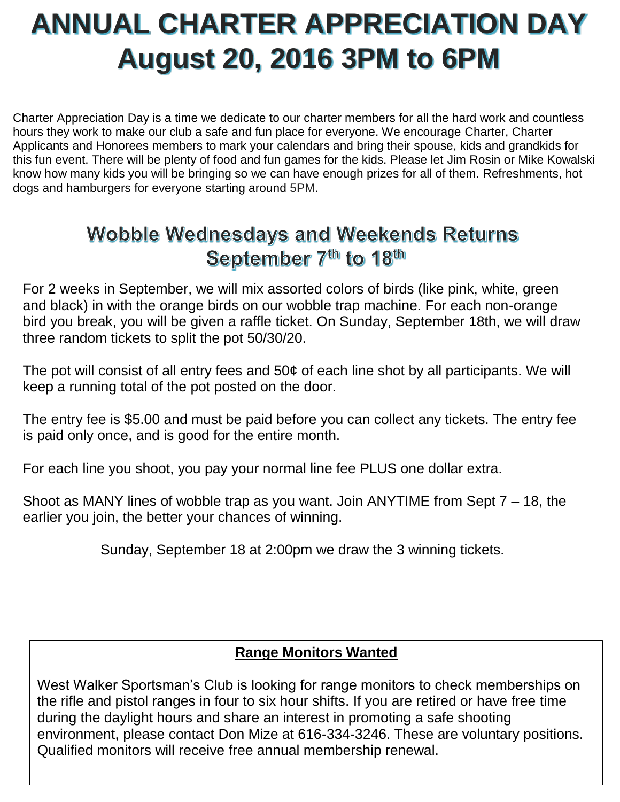# **ANNUAL CHARTER APPRECIATION DAY August 20, 2016 3PM to 6PM**

Charter Appreciation Day is a time we dedicate to our charter members for all the hard work and countless hours they work to make our club a safe and fun place for everyone. We encourage Charter, Charter Applicants and Honorees members to mark your calendars and bring their spouse, kids and grandkids for this fun event. There will be plenty of food and fun games for the kids. Please let Jim Rosin or Mike Kowalski know how many kids you will be bringing so we can have enough prizes for all of them. Refreshments, hot dogs and hamburgers for everyone starting around 5PM.

## **Wobble Wednesdays and Weekends Returns** September 7<sup>th</sup> to 18<sup>th</sup>

For 2 weeks in September, we will mix assorted colors of birds (like pink, white, green and black) in with the orange birds on our wobble trap machine. For each non-orange bird you break, you will be given a raffle ticket. On Sunday, September 18th, we will draw three random tickets to split the pot 50/30/20.

The pot will consist of all entry fees and 50¢ of each line shot by all participants. We will keep a running total of the pot posted on the door.

The entry fee is \$5.00 and must be paid before you can collect any tickets. The entry fee is paid only once, and is good for the entire month.

For each line you shoot, you pay your normal line fee PLUS one dollar extra.

Shoot as MANY lines of wobble trap as you want. Join ANYTIME from Sept 7 – 18, the earlier you join, the better your chances of winning.

Sunday, September 18 at 2:00pm we draw the 3 winning tickets.

## **Range Monitors Wanted**

West Walker Sportsman's Club is looking for range monitors to check memberships on the rifle and pistol ranges in four to six hour shifts. If you are retired or have free time during the daylight hours and share an interest in promoting a safe shooting environment, please contact Don Mize at 616-334-3246. These are voluntary positions. Qualified monitors will receive free annual membership renewal.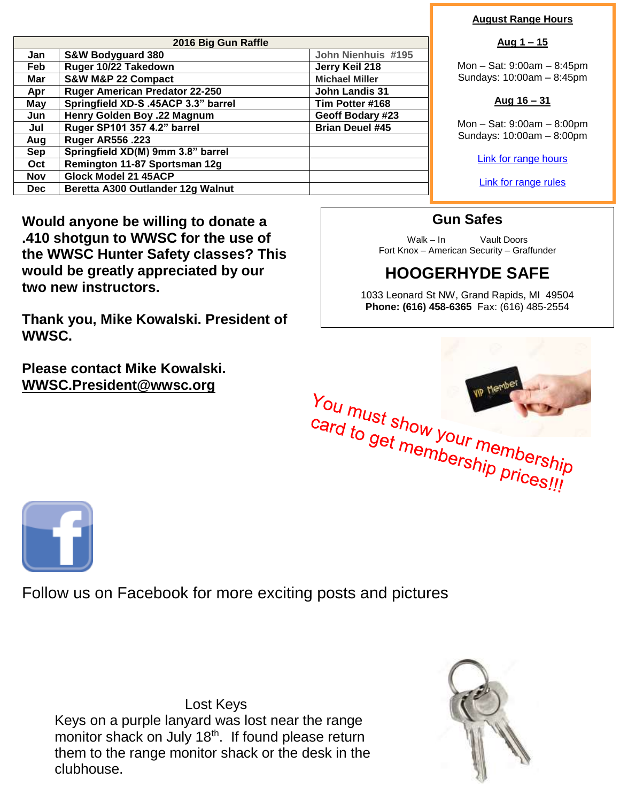| 2016 Big Gun Raffle |                                       |                        |  |  |  |  |
|---------------------|---------------------------------------|------------------------|--|--|--|--|
| Jan                 | <b>S&amp;W Bodyguard 380</b>          | John Nienhuis #195     |  |  |  |  |
| Feb                 | Ruger 10/22 Takedown                  | Jerry Keil 218         |  |  |  |  |
| Mar                 | <b>S&amp;W M&amp;P 22 Compact</b>     | <b>Michael Miller</b>  |  |  |  |  |
| Apr                 | <b>Ruger American Predator 22-250</b> | <b>John Landis 31</b>  |  |  |  |  |
| May                 | Springfield XD-S .45ACP 3.3" barrel   | Tim Potter #168        |  |  |  |  |
| Jun                 | Henry Golden Boy .22 Magnum           | Geoff Bodary #23       |  |  |  |  |
| Jul                 | Ruger SP101 357 4.2" barrel           | <b>Brian Deuel #45</b> |  |  |  |  |
| Aug                 | <b>Ruger AR556.223</b>                |                        |  |  |  |  |
| <b>Sep</b>          | Springfield XD(M) 9mm 3.8" barrel     |                        |  |  |  |  |
| <b>Oct</b>          | Remington 11-87 Sportsman 12g         |                        |  |  |  |  |
| <b>Nov</b>          | Glock Model 21 45ACP                  |                        |  |  |  |  |
| Dec.                | Beretta A300 Outlander 12g Walnut     |                        |  |  |  |  |

**Would anyone be willing to donate a .410 shotgun to WWSC for the use of the WWSC Hunter Safety classes? This would be greatly appreciated by our two new instructors.** 

**Thank you, Mike Kowalski. President of WWSC.**

**Please contact Mike Kowalski. [WWSC.President@wwsc.org](mailto:WWSC.President@wwsc.org)**

#### **August Range Hours**

#### **Aug 1 – 15**

Mon – Sat: 9:00am – 8:45pm Sundays: 10:00am – 8:45pm

#### **Aug 16 – 31**

Mon – Sat: 9:00am – 8:00pm Sundays: 10:00am – 8:00pm

[Link for range hours](http://www.wwsc.org/range-hours.shtml)

[Link for range rules](http://www.wwsc.org/img/ranges/RangeRules.pdf)

### **Gun Safes**

Walk – In Vault Doors Fort Knox – American Security – Graffunder

## **HOOGERHYDE SAFE**

1033 Leonard St NW, Grand Rapids, MI 49504 **Phone: (616) 458-6365** Fax: (616) 485-2554





Follow us on Facebook for more exciting posts and pictures

Lost Keys Keys on a purple lanyard was lost near the range monitor shack on July 18<sup>th</sup>. If found please return them to the range monitor shack or the desk in the clubhouse.